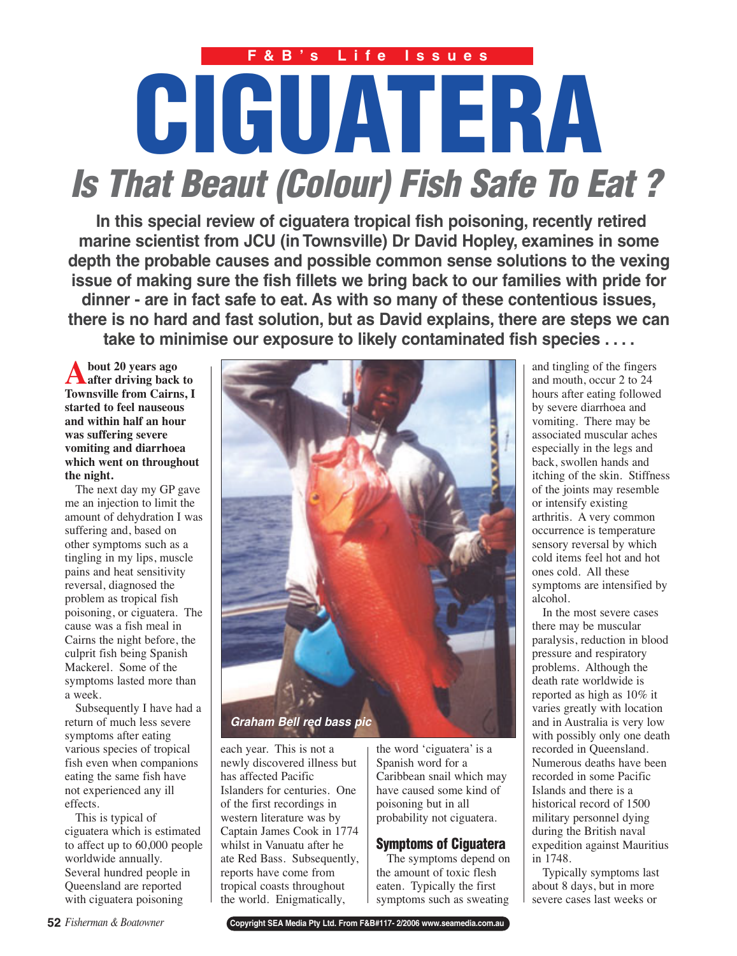# **CIGUATERA Is That Beaut (Colour) Fish Safe To Eat ? F&B's Life Issues**

**In this special review of ciguatera tropical fish poisoning, recently retired marine scientist from JCU (in Townsville) Dr David Hopley, examines in some depth the probable causes and possible common sense solutions to the vexing issue of making sure the fish fillets we bring back to our families with pride for dinner - are in fact safe to eat. As with so many of these contentious issues, there is no hard and fast solution, but as David explains, there are steps we can take to minimise our exposure to likely contaminated fish species . . . .**

**About 20 years ago after driving back to Townsville from Cairns, I started to feel nauseous and within half an hour was suffering severe vomiting and diarrhoea which went on throughout the night.**

The next day my GP gave me an injection to limit the amount of dehydration I was suffering and, based on other symptoms such as a tingling in my lips, muscle pains and heat sensitivity reversal, diagnosed the problem as tropical fish poisoning, or ciguatera. The cause was a fish meal in Cairns the night before, the culprit fish being Spanish Mackerel. Some of the symptoms lasted more than a week.

Subsequently I have had a return of much less severe symptoms after eating various species of tropical fish even when companions eating the same fish have not experienced any ill effects.

This is typical of ciguatera which is estimated to affect up to 60,000 people worldwide annually. Several hundred people in Queensland are reported with ciguatera poisoning



each year. This is not a newly discovered illness but has affected Pacific Islanders for centuries. One of the first recordings in western literature was by Captain James Cook in 1774 whilst in Vanuatu after he ate Red Bass. Subsequently, reports have come from tropical coasts throughout the world. Enigmatically,

the word 'ciguatera' is a Spanish word for a Caribbean snail which may have caused some kind of poisoning but in all probability not ciguatera.

## **Symptoms of Ciguatera**

The symptoms depend on the amount of toxic flesh eaten. Typically the first symptoms such as sweating

and tingling of the fingers and mouth, occur 2 to 24 hours after eating followed by severe diarrhoea and vomiting. There may be associated muscular aches especially in the legs and back, swollen hands and itching of the skin. Stiffness of the joints may resemble or intensify existing arthritis. A very common occurrence is temperature sensory reversal by which cold items feel hot and hot ones cold. All these symptoms are intensified by alcohol.

In the most severe cases there may be muscular paralysis, reduction in blood pressure and respiratory problems. Although the death rate worldwide is reported as high as 10% it varies greatly with location and in Australia is very low with possibly only one death recorded in Queensland. Numerous deaths have been recorded in some Pacific Islands and there is a historical record of 1500 military personnel dying during the British naval expedition against Mauritius in 1748.

Typically symptoms last about 8 days, but in more severe cases last weeks or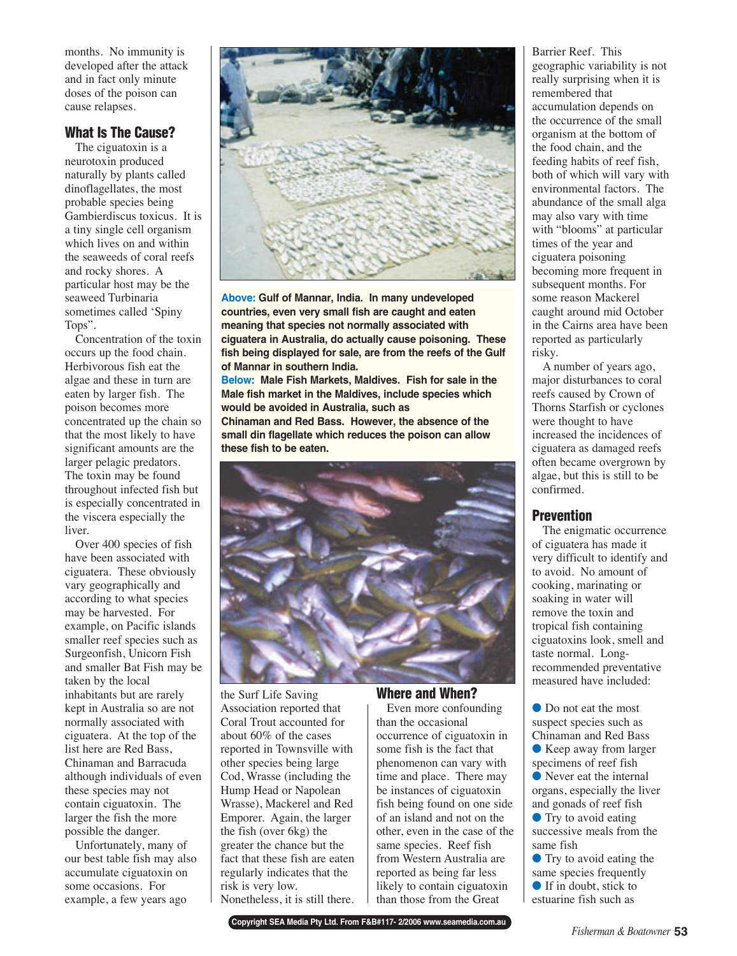months. No immunity is developed after the attack and in fact only minute doses of the poison can cause relapses.

## **What Is The Cause?**

The ciguatoxin is a neurotoxin produced naturally by plants called dinoflagellates, the most probable species being Gambierdiscus toxicus. It is a tiny single cell organism which lives on and within the seaweeds of coral reefs and rocky shores. A particular host may be the seaweed Turbinaria sometimes called 'Spiny Tops".

Concentration of the toxin occurs up the food chain. Herbivorous fish eat the algae and these in turn are eaten by larger fish. The poison becomes more concentrated up the chain so that the most likely to have significant amounts are the larger pelagic predators. The toxin may be found throughout infected fish but is especially concentrated in the viscera especially the liver.

Over 400 species of fish have been associated with ciguatera. These obviously vary geographically and according to what species may be harvested. For example, on Pacific islands smaller reef species such as Surgeonfish, Unicorn Fish and smaller Bat Fish may be taken by the local inhabitants but are rarely kept in Australia so are not normally associated with ciguatera. At the top of the list here are Red Bass, Chinaman and Barracuda although individuals of even these species may not contain ciguatoxin. The larger the fish the more possible the danger.

Unfortunately, many of our best table fish may also accumulate ciguatoxin on some occasions. For example, a few years ago



**Above: Gulf of Mannar, India. In many undeveloped countries, even very small fish are caught and eaten meaning that species not normally associated with ciguatera in Australia, do actually cause poisoning. These fish being displayed for sale, are from the reefs of the Gulf of Mannar in southern India.**

**Below: Male Fish Markets, Maldives. Fish for sale in the Male fish market in the Maldives, include species which would be avoided in Australia, such as**

**Chinaman and Red Bass. However, the absence of the small din flagellate which reduces the poison can allow these fish to be eaten.**



the Surf Life Saving Association reported that Coral Trout accounted for about 60% of the cases reported in Townsville with other species being large Cod, Wrasse (including the Hump Head or Napolean Wrasse), Mackerel and Red Emporer. Again, the larger the fish (over 6kg) the greater the chance but the fact that these fish are eaten regularly indicates that the risk is very low. Nonetheless, it is still there.

## **Where and When?**

Even more confounding than the occasional occurrence of ciguatoxin in some fish is the fact that phenomenon can vary with time and place. There may be instances of ciguatoxin fish being found on one side of an island and not on the other, even in the case of the same species. Reef fish from Western Australia are reported as being far less likely to contain ciguatoxin than those from the Great

Barrier Reef. This geographic variability is not really surprising when it is remembered that accumulation depends on the occurrence of the small organism at the bottom of the food chain, and the feeding habits of reef fish, both of which will vary with environmental factors. The abundance of the small alga may also vary with time with "blooms" at particular times of the year and ciguatera poisoning becoming more frequent in subsequent months. For some reason Mackerel caught around mid October in the Cairns area have been reported as particularly risky.

A number of years ago, major disturbances to coral reefs caused by Crown of Thorns Starfish or cyclones were thought to have increased the incidences of ciguatera as damaged reefs often became overgrown by algae, but this is still to be confirmed.

#### **Prevention**

The enigmatic occurrence of ciguatera has made it very difficult to identify and to avoid. No amount of cooking, marinating or soaking in water will remove the toxin and tropical fish containing ciguatoxins look, smell and taste normal. Longrecommended preventative measured have included:

● Do not eat the most suspect species such as Chinaman and Red Bass

● Keep away from larger specimens of reef fish

● Never eat the internal organs, especially the liver and gonads of reef fish

● Try to avoid eating successive meals from the same fish

● Try to avoid eating the same species frequently

 $\bullet$  If in doubt, stick to

estuarine fish such as